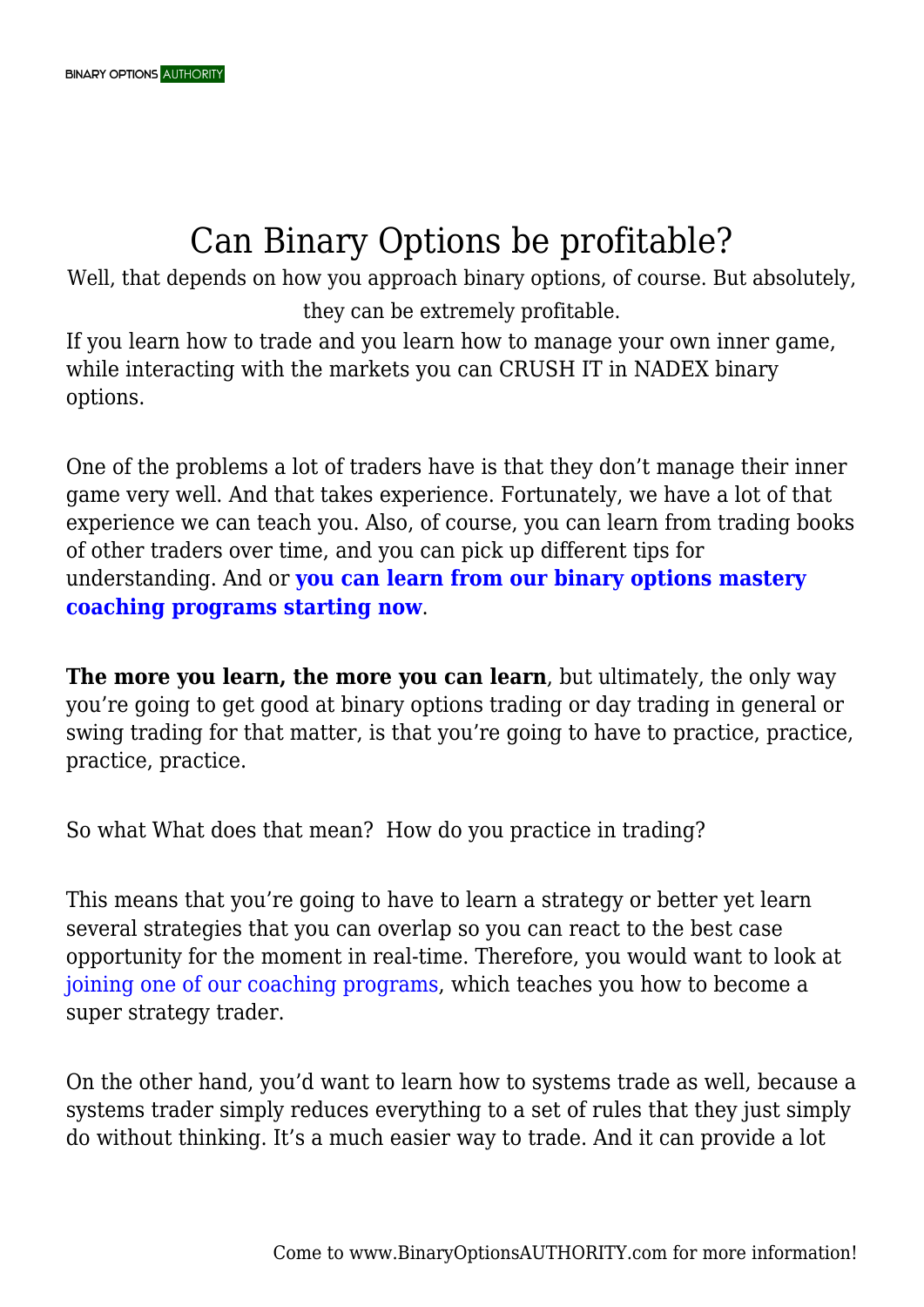## Can Binary Options be profitable?

Well, that depends on how you approach binary options, of course. But absolutely, they can be extremely profitable.

If you learn how to trade and you learn how to manage your own inner game, while interacting with the markets you can CRUSH IT in NADEX binary options.

One of the problems a lot of traders have is that they don't manage their inner game very well. And that takes experience. Fortunately, we have a lot of that experience we can teach you. Also, of course, you can learn from trading books of other traders over time, and you can pick up different tips for understanding. And or **[you can learn from our binary options mastery](https://binaryoptionsauthority.com/binary-options-authority-mastery-trading-coaching-programs/) [coaching programs starting now](https://binaryoptionsauthority.com/binary-options-authority-mastery-trading-coaching-programs/)**.

**The more you learn, the more you can learn**, but ultimately, the only way you're going to get good at binary options trading or day trading in general or swing trading for that matter, is that you're going to have to practice, practice, practice, practice.

So what What does that mean? How do you practice in trading?

This means that you're going to have to learn a strategy or better yet learn several strategies that you can overlap so you can react to the best case opportunity for the moment in real-time. Therefore, you would want to look at [joining one of our coaching programs,](https://binaryoptionsauthority.com/binary-options-authority-mastery-trading-coaching-programs/) which teaches you how to become a super strategy trader.

On the other hand, you'd want to learn how to systems trade as well, because a systems trader simply reduces everything to a set of rules that they just simply do without thinking. It's a much easier way to trade. And it can provide a lot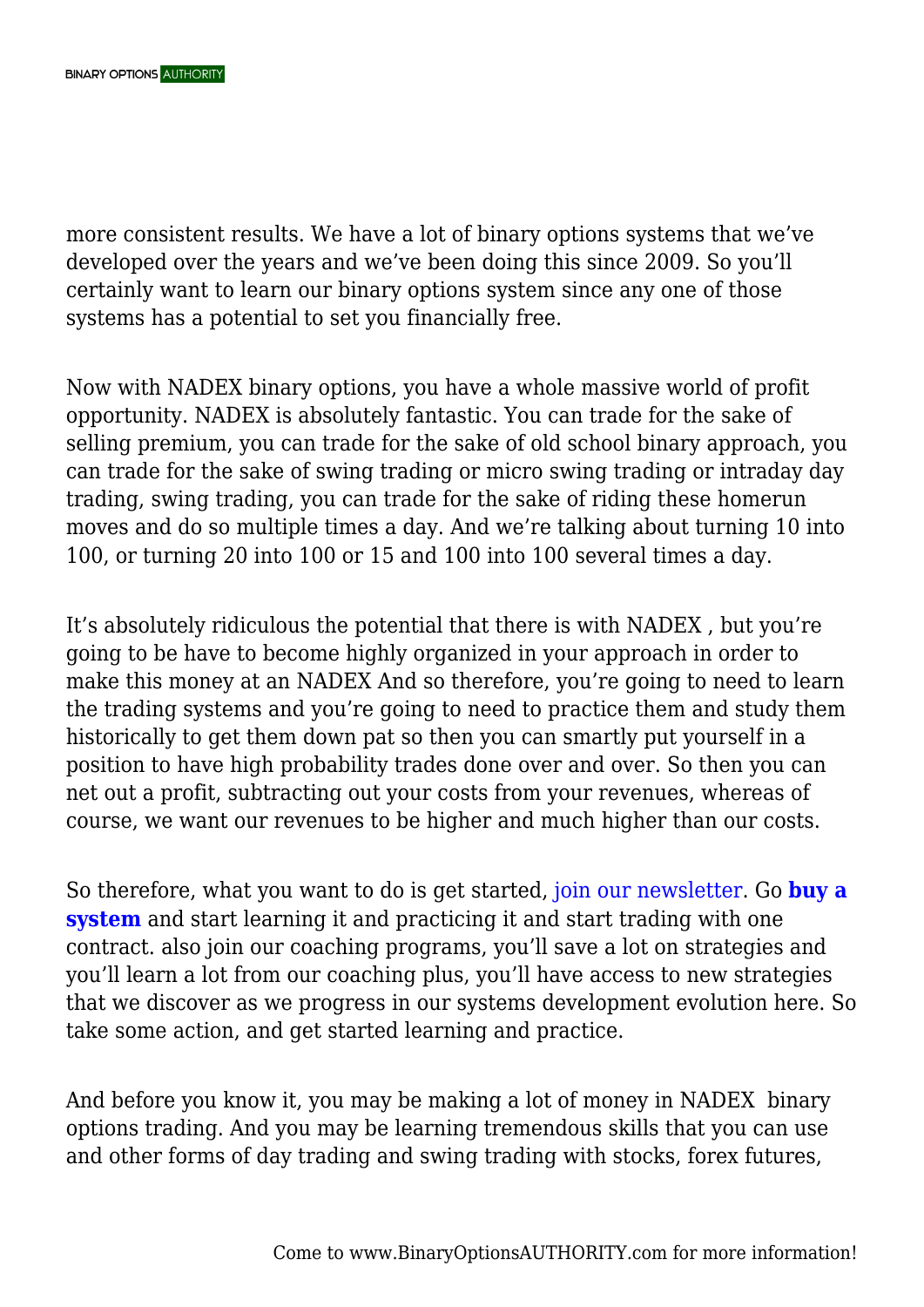more consistent results. We have a lot of binary options systems that we've developed over the years and we've been doing this since 2009. So you'll certainly want to learn our binary options system since any one of those systems has a potential to set you financially free.

Now with NADEX binary options, you have a whole massive world of profit opportunity. NADEX is absolutely fantastic. You can trade for the sake of selling premium, you can trade for the sake of old school binary approach, you can trade for the sake of swing trading or micro swing trading or intraday day trading, swing trading, you can trade for the sake of riding these homerun moves and do so multiple times a day. And we're talking about turning 10 into 100, or turning 20 into 100 or 15 and 100 into 100 several times a day.

It's absolutely ridiculous the potential that there is with NADEX , but you're going to be have to become highly organized in your approach in order to make this money at an NADEX And so therefore, you're going to need to learn the trading systems and you're going to need to practice them and study them historically to get them down pat so then you can smartly put yourself in a position to have high probability trades done over and over. So then you can net out a profit, subtracting out your costs from your revenues, whereas of course, we want our revenues to be higher and much higher than our costs.

So therefore, what you want to do is get started, [join our newsletter.](https://binaryoptionsauthority.com/newsletter/) Go **[buy a](https://binaryoptionsauthority.com/nadex-binary-options-systems/) [system](https://binaryoptionsauthority.com/nadex-binary-options-systems/)** and start learning it and practicing it and start trading with one contract. also join our coaching programs, you'll save a lot on strategies and you'll learn a lot from our coaching plus, you'll have access to new strategies that we discover as we progress in our systems development evolution here. So take some action, and get started learning and practice.

And before you know it, you may be making a lot of money in NADEX binary options trading. And you may be learning tremendous skills that you can use and other forms of day trading and swing trading with stocks, forex futures,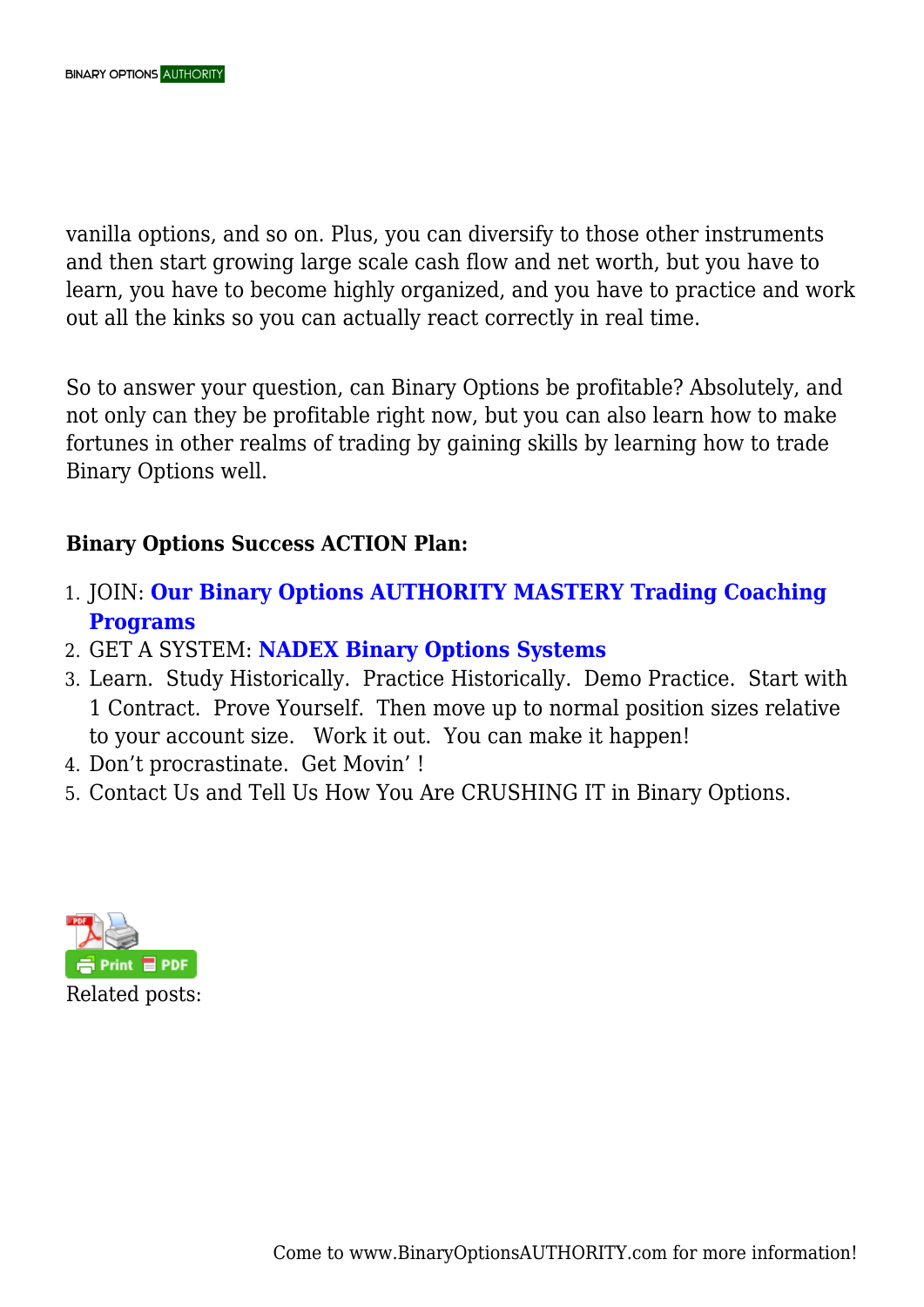vanilla options, and so on. Plus, you can diversify to those other instruments and then start growing large scale cash flow and net worth, but you have to learn, you have to become highly organized, and you have to practice and work out all the kinks so you can actually react correctly in real time.

So to answer your question, can Binary Options be profitable? Absolutely, and not only can they be profitable right now, but you can also learn how to make fortunes in other realms of trading by gaining skills by learning how to trade Binary Options well.

## **Binary Options Success ACTION Plan:**

- 1. JOIN: **[Our Binary Options AUTHORITY MASTERY Trading Coaching](https://binaryoptionsauthority.com/binary-options-authority-mastery-trading-coaching-programs/) [Programs](https://binaryoptionsauthority.com/binary-options-authority-mastery-trading-coaching-programs/)**
- 2. GET A SYSTEM: **[NADEX Binary Options Systems](https://binaryoptionsauthority.com/nadex-binary-options-systems/)**
- 3. Learn. Study Historically. Practice Historically. Demo Practice. Start with 1 Contract. Prove Yourself. Then move up to normal position sizes relative to your account size. Work it out. You can make it happen!
- 4. Don't procrastinate. Get Movin' !
- 5. Contact Us and Tell Us How You Are CRUSHING IT in Binary Options.

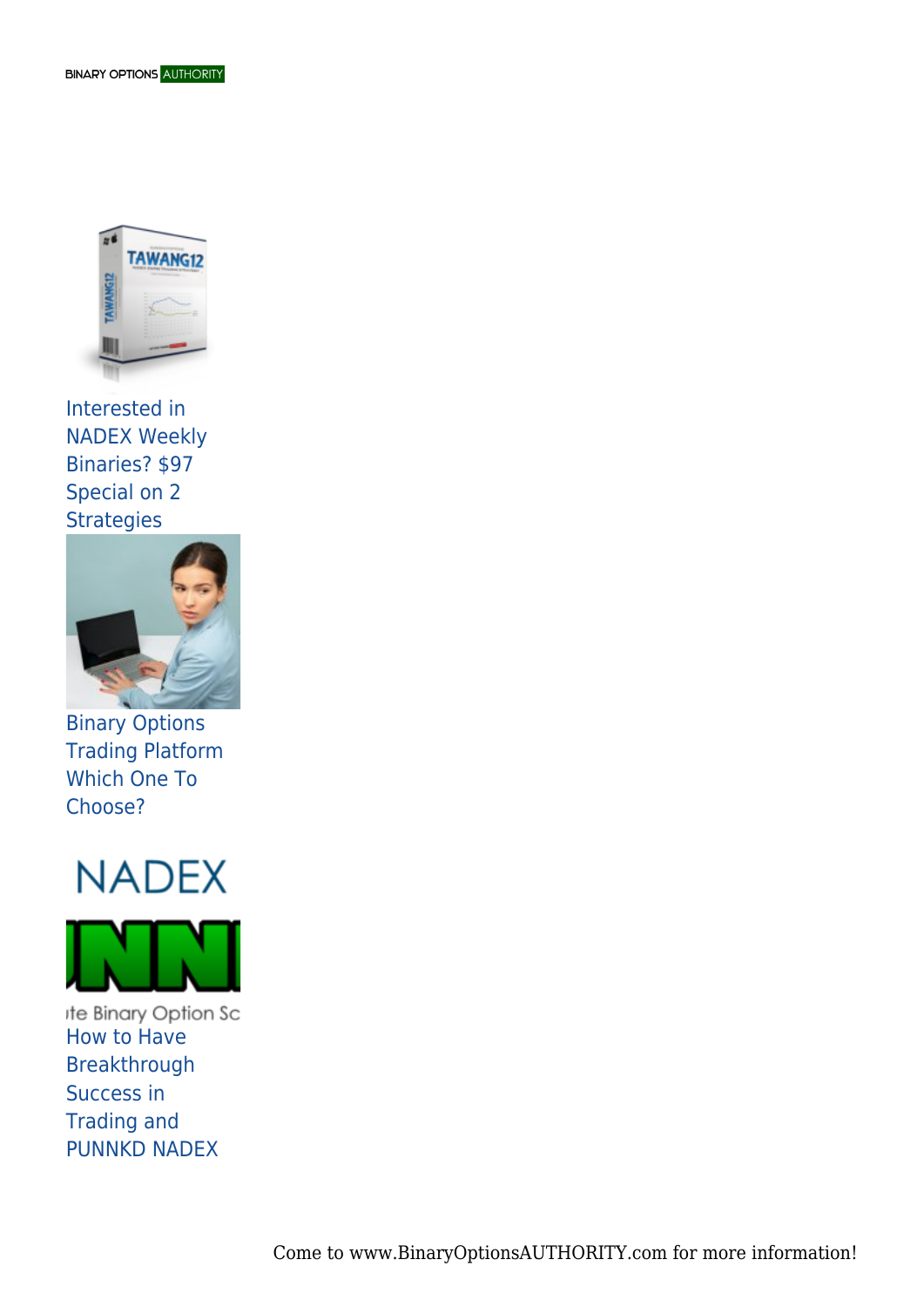

Interested in NADEX Weekly Binaries? \$97 Special on 2 **Strategies** 



Binary Options Trading Platform Which One To Choose?





ite Binary Option Sc How to Have Breakthrough Success in Trading and PUNNKD NADEX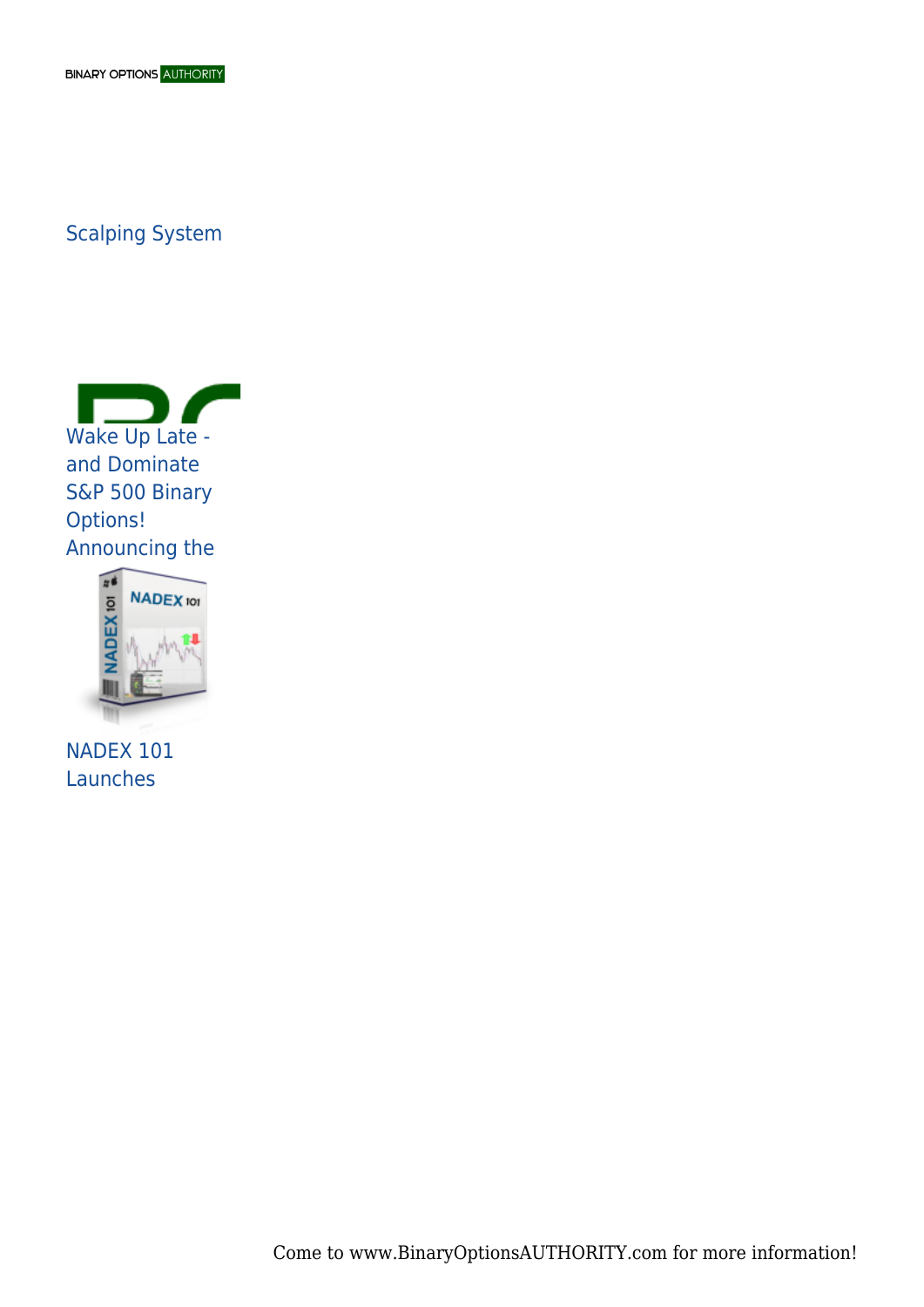## Scalping System





NADEX 101 Launches